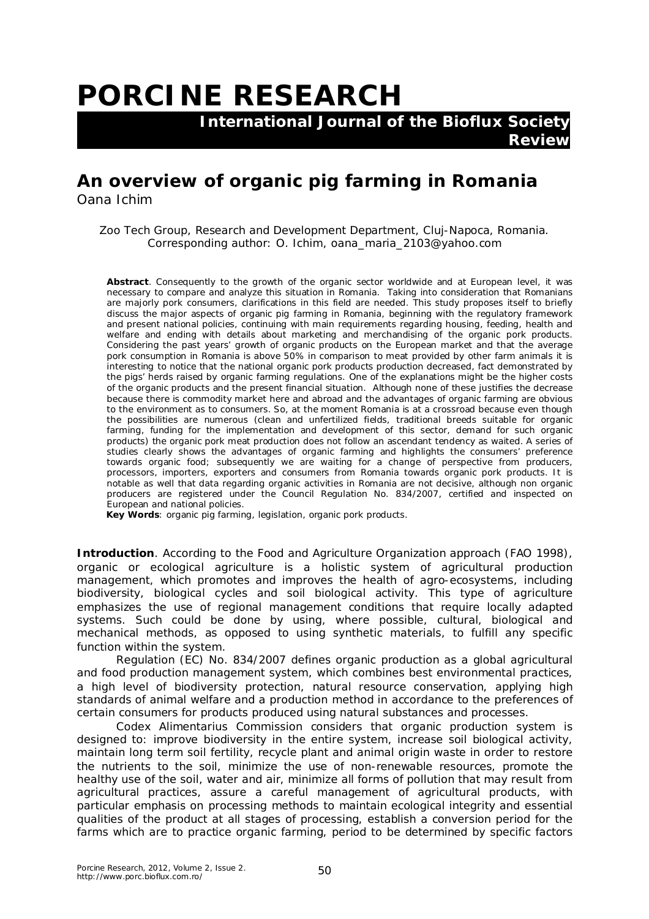## **PORCINE RESEARCH**

 **International Journal of the Bioflux Society Review**

## **An overview of organic pig farming in Romania**

Oana Ichim

Zoo Tech Group, Research and Development Department, Cluj-Napoca, Romania. Corresponding author: O. Ichim, oana\_maria\_2103@yahoo.com

**Abstract**. Consequently to the growth of the organic sector worldwide and at European level, it was necessary to compare and analyze this situation in Romania. Taking into consideration that Romanians are majorly pork consumers, clarifications in this field are needed. This study proposes itself to briefly discuss the major aspects of organic pig farming in Romania, beginning with the regulatory framework and present national policies, continuing with main requirements regarding housing, feeding, health and welfare and ending with details about marketing and merchandising of the organic pork products. Considering the past years' growth of organic products on the European market and that the average pork consumption in Romania is above 50% in comparison to meat provided by other farm animals it is interesting to notice that the national organic pork products production decreased, fact demonstrated by the pigs' herds raised by organic farming regulations. One of the explanations might be the higher costs of the organic products and the present financial situation. Although none of these justifies the decrease because there is commodity market here and abroad and the advantages of organic farming are obvious to the environment as to consumers. So, at the moment Romania is at a crossroad because even though the possibilities are numerous (clean and unfertilized fields, traditional breeds suitable for organic farming, funding for the implementation and development of this sector, demand for such organic products) the organic pork meat production does not follow an ascendant tendency as waited. A series of studies clearly shows the advantages of organic farming and highlights the consumers' preference towards organic food; subsequently we are waiting for a change of perspective from producers, processors, importers, exporters and consumers from Romania towards organic pork products. It is notable as well that data regarding organic activities in Romania are not decisive, although non organic producers are registered under the Council Regulation No. 834/2007, certified and inspected on European and national policies.

**Key Words**: organic pig farming, legislation, organic pork products.

**Introduction**. According to the Food and Agriculture Organization approach (FAO 1998), organic or ecological agriculture is a holistic system of agricultural production management, which promotes and improves the health of agro-ecosystems, including biodiversity, biological cycles and soil biological activity. This type of agriculture emphasizes the use of regional management conditions that require locally adapted systems. Such could be done by using, where possible, cultural, biological and mechanical methods, as opposed to using synthetic materials, to fulfill any specific function within the system.

Regulation (EC) No. 834/2007 defines organic production as a global agricultural and food production management system, which combines best environmental practices, a high level of biodiversity protection, natural resource conservation, applying high standards of animal welfare and a production method in accordance to the preferences of certain consumers for products produced using natural substances and processes.

Codex Alimentarius Commission considers that organic production system is designed to: improve biodiversity in the entire system, increase soil biological activity, maintain long term soil fertility, recycle plant and animal origin waste in order to restore the nutrients to the soil, minimize the use of non-renewable resources, promote the healthy use of the soil, water and air, minimize all forms of pollution that may result from agricultural practices, assure a careful management of agricultural products, with particular emphasis on processing methods to maintain ecological integrity and essential qualities of the product at all stages of processing, establish a conversion period for the farms which are to practice organic farming, period to be determined by specific factors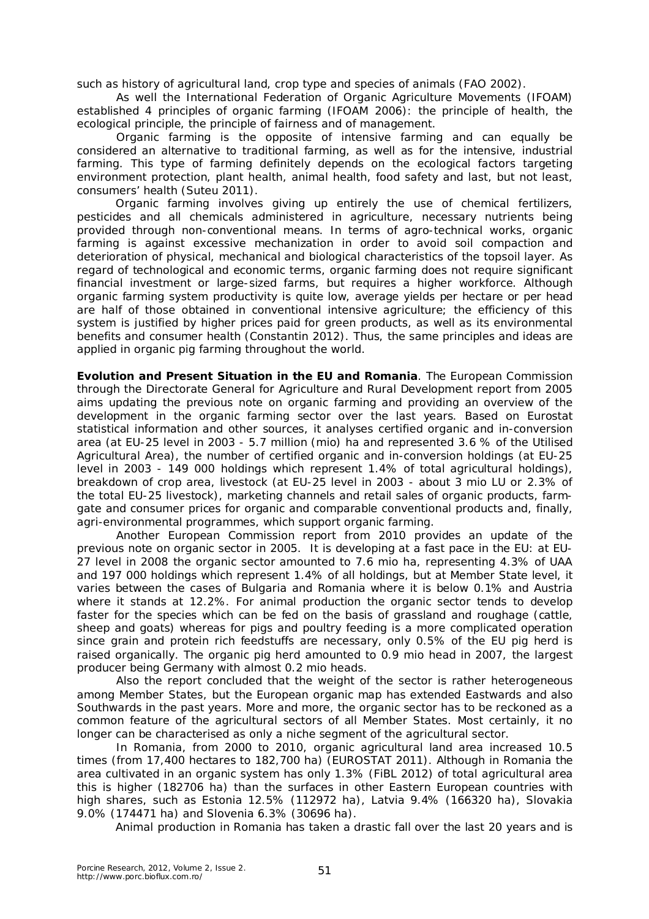such as history of agricultural land, crop type and species of animals (FAO 2002).

As well the International Federation of Organic Agriculture Movements (IFOAM) established 4 principles of organic farming (IFOAM 2006): the principle of health, the ecological principle, the principle of fairness and of management.

Organic farming is the opposite of intensive farming and can equally be considered an alternative to traditional farming, as well as for the intensive, industrial farming. This type of farming definitely depends on the ecological factors targeting environment protection, plant health, animal health, food safety and last, but not least, consumers' health (Suteu 2011).

Organic farming involves giving up entirely the use of chemical fertilizers, pesticides and all chemicals administered in agriculture, necessary nutrients being provided through non-conventional means. In terms of agro-technical works, organic farming is against excessive mechanization in order to avoid soil compaction and deterioration of physical, mechanical and biological characteristics of the topsoil layer. As regard of technological and economic terms, organic farming does not require significant financial investment or large-sized farms, but requires a higher workforce. Although organic farming system productivity is quite low, average yields per hectare or per head are half of those obtained in conventional intensive agriculture; the efficiency of this system is justified by higher prices paid for green products, as well as its environmental benefits and consumer health (Constantin 2012). Thus, the same principles and ideas are applied in organic pig farming throughout the world.

**Evolution and Present Situation in the EU and Romania**. The European Commission through the Directorate General for Agriculture and Rural Development report from 2005 aims updating the previous note on organic farming and providing an overview of the development in the organic farming sector over the last years. Based on Eurostat statistical information and other sources, it analyses certified organic and in-conversion area (at EU-25 level in 2003 - 5.7 million (mio) ha and represented 3.6 % of the Utilised Agricultural Area), the number of certified organic and in-conversion holdings (at EU-25 level in 2003 - 149 000 holdings which represent 1.4% of total agricultural holdings), breakdown of crop area, livestock (at EU-25 level in 2003 - about 3 mio LU or 2.3% of the total EU-25 livestock), marketing channels and retail sales of organic products, farmgate and consumer prices for organic and comparable conventional products and, finally, agri-environmental programmes, which support organic farming.

Another European Commission report from 2010 provides an update of the previous note on organic sector in 2005. It is developing at a fast pace in the EU: at EU-27 level in 2008 the organic sector amounted to 7.6 mio ha, representing 4.3% of UAA and 197 000 holdings which represent 1.4% of all holdings, but at Member State level, it varies between the cases of Bulgaria and Romania where it is below 0.1% and Austria where it stands at 12.2%. For animal production the organic sector tends to develop faster for the species which can be fed on the basis of grassland and roughage (cattle, sheep and goats) whereas for pigs and poultry feeding is a more complicated operation since grain and protein rich feedstuffs are necessary, only 0.5% of the EU pig herd is raised organically. The organic pig herd amounted to 0.9 mio head in 2007, the largest producer being Germany with almost 0.2 mio heads.

Also the report concluded that the weight of the sector is rather heterogeneous among Member States, but the European organic map has extended Eastwards and also Southwards in the past years. More and more, the organic sector has to be reckoned as a common feature of the agricultural sectors of all Member States. Most certainly, it no longer can be characterised as only a niche segment of the agricultural sector.

In Romania, from 2000 to 2010, organic agricultural land area increased 10.5 times (from 17,400 hectares to 182,700 ha) (EUROSTAT 2011). Although in Romania the area cultivated in an organic system has only 1.3% (FiBL 2012) of total agricultural area this is higher (182706 ha) than the surfaces in other Eastern European countries with high shares, such as Estonia 12.5% (112972 ha), Latvia 9.4% (166320 ha), Slovakia 9.0% (174471 ha) and Slovenia 6.3% (30696 ha).

Animal production in Romania has taken a drastic fall over the last 20 years and is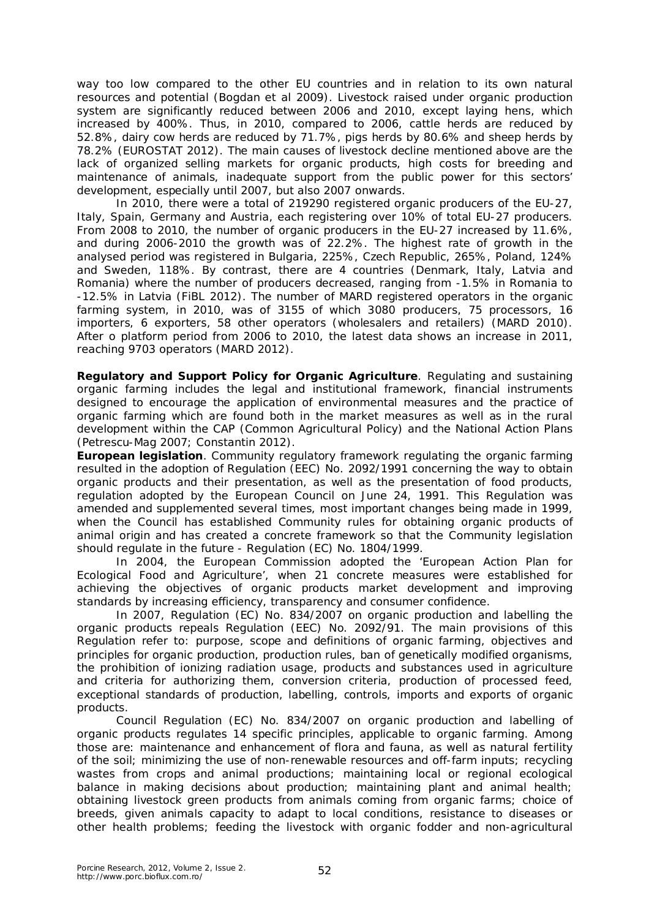way too low compared to the other EU countries and in relation to its own natural resources and potential (Bogdan et al 2009). Livestock raised under organic production system are significantly reduced between 2006 and 2010, except laying hens, which increased by 400%. Thus, in 2010, compared to 2006, cattle herds are reduced by 52.8%, dairy cow herds are reduced by 71.7%, pigs herds by 80.6% and sheep herds by 78.2% (EUROSTAT 2012). The main causes of livestock decline mentioned above are the lack of organized selling markets for organic products, high costs for breeding and maintenance of animals, inadequate support from the public power for this sectors' development, especially until 2007, but also 2007 onwards.

In 2010, there were a total of 219290 registered organic producers of the EU-27, Italy, Spain, Germany and Austria, each registering over 10% of total EU-27 producers. From 2008 to 2010, the number of organic producers in the EU-27 increased by 11.6%, and during 2006-2010 the growth was of 22.2%. The highest rate of growth in the analysed period was registered in Bulgaria, 225%, Czech Republic, 265%, Poland, 124% and Sweden, 118%. By contrast, there are 4 countries (Denmark, Italy, Latvia and Romania) where the number of producers decreased, ranging from -1.5% in Romania to -12.5% in Latvia (FiBL 2012). The number of MARD registered operators in the organic farming system, in 2010, was of 3155 of which 3080 producers, 75 processors, 16 importers, 6 exporters, 58 other operators (wholesalers and retailers) (MARD 2010). After o platform period from 2006 to 2010, the latest data shows an increase in 2011, reaching 9703 operators (MARD 2012).

**Regulatory and Support Policy for Organic Agriculture**. Regulating and sustaining organic farming includes the legal and institutional framework, financial instruments designed to encourage the application of environmental measures and the practice of organic farming which are found both in the market measures as well as in the rural development within the CAP (Common Agricultural Policy) and the National Action Plans (Petrescu-Mag 2007; Constantin 2012).

*European legislation*. Community regulatory framework regulating the organic farming resulted in the adoption of Regulation (EEC) No. 2092/1991 concerning the way to obtain organic products and their presentation, as well as the presentation of food products, regulation adopted by the European Council on June 24, 1991. This Regulation was amended and supplemented several times, most important changes being made in 1999, when the Council has established Community rules for obtaining organic products of animal origin and has created a concrete framework so that the Community legislation should regulate in the future - Regulation (EC) No. 1804/1999.

In 2004, the European Commission adopted the 'European Action Plan for Ecological Food and Agriculture', when 21 concrete measures were established for achieving the objectives of organic products market development and improving standards by increasing efficiency, transparency and consumer confidence.

In 2007, Regulation (EC) No. 834/2007 on organic production and labelling the organic products repeals Regulation (EEC) No. 2092/91. The main provisions of this Regulation refer to: purpose, scope and definitions of organic farming, objectives and principles for organic production, production rules, ban of genetically modified organisms, the prohibition of ionizing radiation usage, products and substances used in agriculture and criteria for authorizing them, conversion criteria, production of processed feed, exceptional standards of production, labelling, controls, imports and exports of organic products.

Council Regulation (EC) No. 834/2007 on organic production and labelling of organic products regulates 14 specific principles, applicable to organic farming. Among those are: maintenance and enhancement of flora and fauna, as well as natural fertility of the soil; minimizing the use of non-renewable resources and off-farm inputs; recycling wastes from crops and animal productions; maintaining local or regional ecological balance in making decisions about production; maintaining plant and animal health; obtaining livestock green products from animals coming from organic farms; choice of breeds, given animals capacity to adapt to local conditions, resistance to diseases or other health problems; feeding the livestock with organic fodder and non-agricultural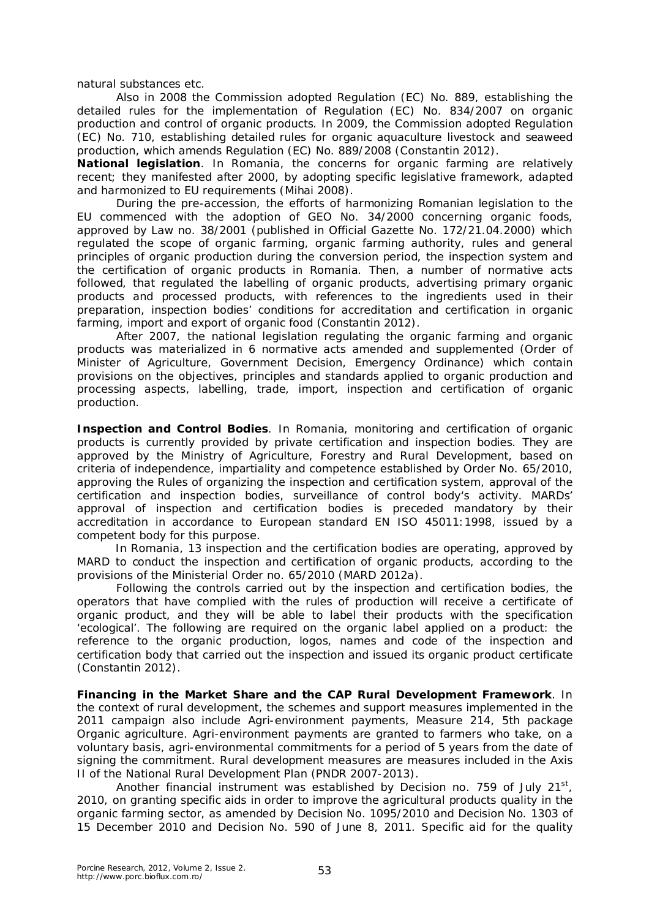natural substances etc.

Also in 2008 the Commission adopted Regulation (EC) No. 889, establishing the detailed rules for the implementation of Regulation (EC) No. 834/2007 on organic production and control of organic products. In 2009, the Commission adopted Regulation (EC) No. 710, establishing detailed rules for organic aquaculture livestock and seaweed production, which amends Regulation (EC) No. 889/2008 (Constantin 2012).

*National legislation*. In Romania, the concerns for organic farming are relatively recent; they manifested after 2000, by adopting specific legislative framework, adapted and harmonized to EU requirements (Mihai 2008).

During the pre-accession, the efforts of harmonizing Romanian legislation to the EU commenced with the adoption of GEO No. 34/2000 concerning organic foods, approved by Law no. 38/2001 (published in Official Gazette No. 172/21.04.2000) which regulated the scope of organic farming, organic farming authority, rules and general principles of organic production during the conversion period, the inspection system and the certification of organic products in Romania. Then, a number of normative acts followed, that regulated the labelling of organic products, advertising primary organic products and processed products, with references to the ingredients used in their preparation, inspection bodies' conditions for accreditation and certification in organic farming, import and export of organic food (Constantin 2012).

After 2007, the national legislation regulating the organic farming and organic products was materialized in 6 normative acts amended and supplemented (Order of Minister of Agriculture, Government Decision, Emergency Ordinance) which contain provisions on the objectives, principles and standards applied to organic production and processing aspects, labelling, trade, import, inspection and certification of organic production.

**Inspection and Control Bodies**. In Romania, monitoring and certification of organic products is currently provided by private certification and inspection bodies. They are approved by the Ministry of Agriculture, Forestry and Rural Development, based on criteria of independence, impartiality and competence established by Order No. 65/2010, approving the Rules of organizing the inspection and certification system, approval of the certification and inspection bodies, surveillance of control body's activity. MARDs' approval of inspection and certification bodies is preceded mandatory by their accreditation in accordance to European standard EN ISO 45011:1998, issued by a competent body for this purpose.

In Romania, 13 inspection and the certification bodies are operating, approved by MARD to conduct the inspection and certification of organic products, according to the provisions of the Ministerial Order no. 65/2010 (MARD 2012a).

Following the controls carried out by the inspection and certification bodies, the operators that have complied with the rules of production will receive a certificate of organic product, and they will be able to label their products with the specification 'ecological'. The following are required on the organic label applied on a product: the reference to the organic production, logos, names and code of the inspection and certification body that carried out the inspection and issued its organic product certificate (Constantin 2012).

**Financing in the Market Share and the CAP Rural Development Framework**. In the context of rural development, the schemes and support measures implemented in the 2011 campaign also include Agri-environment payments, Measure 214, 5th package Organic agriculture. Agri-environment payments are granted to farmers who take, on a voluntary basis, agri-environmental commitments for a period of 5 years from the date of signing the commitment. Rural development measures are measures included in the Axis II of the National Rural Development Plan (PNDR 2007-2013).

Another financial instrument was established by Decision no. 759 of July 21 $^{\rm st}$ , 2010, on granting specific aids in order to improve the agricultural products quality in the organic farming sector, as amended by Decision No. 1095/2010 and Decision No. 1303 of 15 December 2010 and Decision No. 590 of June 8, 2011. Specific aid for the quality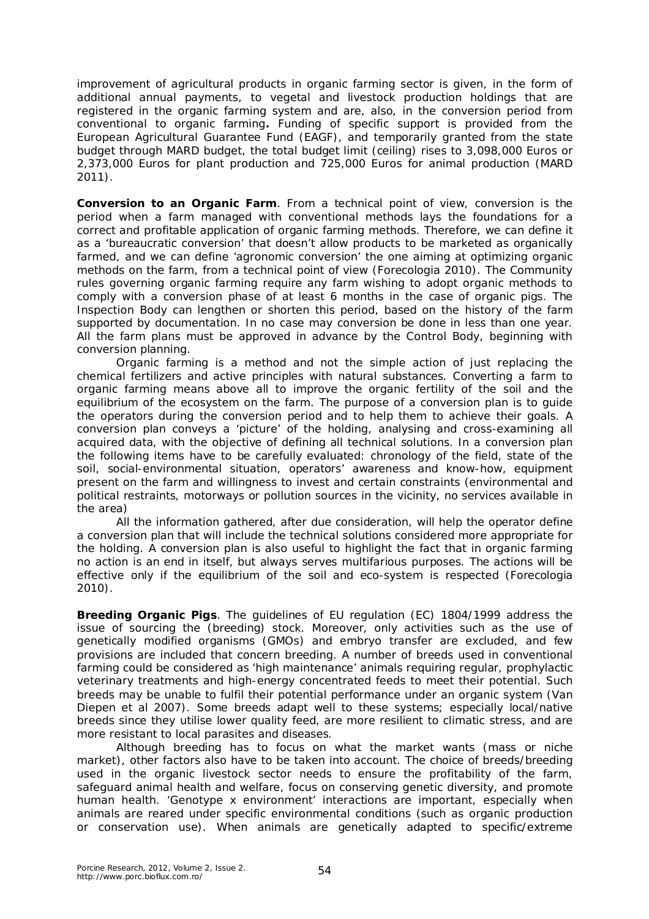improvement of agricultural products in organic farming sector is given, in the form of additional annual payments, to vegetal and livestock production holdings that are registered in the organic farming system and are, also, in the conversion period from conventional to organic farming**.** Funding of specific support is provided from the European Agricultural Guarantee Fund (EAGF), and temporarily granted from the state budget through MARD budget, the total budget limit (ceiling) rises to 3,098,000 Euros or 2,373,000 Euros for plant production and 725,000 Euros for animal production (MARD 2011).

**Conversion to an Organic Farm**. From a technical point of view, conversion is the period when a farm managed with conventional methods lays the foundations for a correct and profitable application of organic farming methods. Therefore, we can define it as a 'bureaucratic conversion' that doesn't allow products to be marketed as organically farmed, and we can define 'agronomic conversion' the one aiming at optimizing organic methods on the farm, from a technical point of view (Forecologia 2010). The Community rules governing organic farming require any farm wishing to adopt organic methods to comply with a conversion phase of at least 6 months in the case of organic pigs. The Inspection Body can lengthen or shorten this period, based on the history of the farm supported by documentation. In no case may conversion be done in less than one year. All the farm plans must be approved in advance by the Control Body, beginning with conversion planning.

Organic farming is a method and not the simple action of just replacing the chemical fertilizers and active principles with natural substances. Converting a farm to organic farming means above all to improve the organic fertility of the soil and the equilibrium of the ecosystem on the farm. The purpose of a conversion plan is to guide the operators during the conversion period and to help them to achieve their goals. A conversion plan conveys a 'picture' of the holding, analysing and cross-examining all acquired data, with the objective of defining all technical solutions. In a conversion plan the following items have to be carefully evaluated: chronology of the field, state of the soil, social-environmental situation, operators' awareness and know-how, equipment present on the farm and willingness to invest and certain constraints (environmental and political restraints, motorways or pollution sources in the vicinity, no services available in the area)

All the information gathered, after due consideration, will help the operator define a conversion plan that will include the technical solutions considered more appropriate for the holding. A conversion plan is also useful to highlight the fact that in organic farming no action is an end in itself, but always serves multifarious purposes. The actions will be effective only if the equilibrium of the soil and eco-system is respected (Forecologia 2010).

**Breeding Organic Pigs**. The guidelines of EU regulation (EC) 1804/1999 address the issue of sourcing the (breeding) stock. Moreover, only activities such as the use of genetically modified organisms (GMOs) and embryo transfer are excluded, and few provisions are included that concern breeding. A number of breeds used in conventional farming could be considered as 'high maintenance' animals requiring regular, prophylactic veterinary treatments and high-energy concentrated feeds to meet their potential. Such breeds may be unable to fulfil their potential performance under an organic system (Van Diepen et al 2007). Some breeds adapt well to these systems; especially local/native breeds since they utilise lower quality feed, are more resilient to climatic stress, and are more resistant to local parasites and diseases.

Although breeding has to focus on what the market wants (mass or niche market), other factors also have to be taken into account. The choice of breeds/breeding used in the organic livestock sector needs to ensure the profitability of the farm, safeguard animal health and welfare, focus on conserving genetic diversity, and promote human health. 'Genotype x environment' interactions are important, especially when animals are reared under specific environmental conditions (such as organic production or conservation use). When animals are genetically adapted to specific/extreme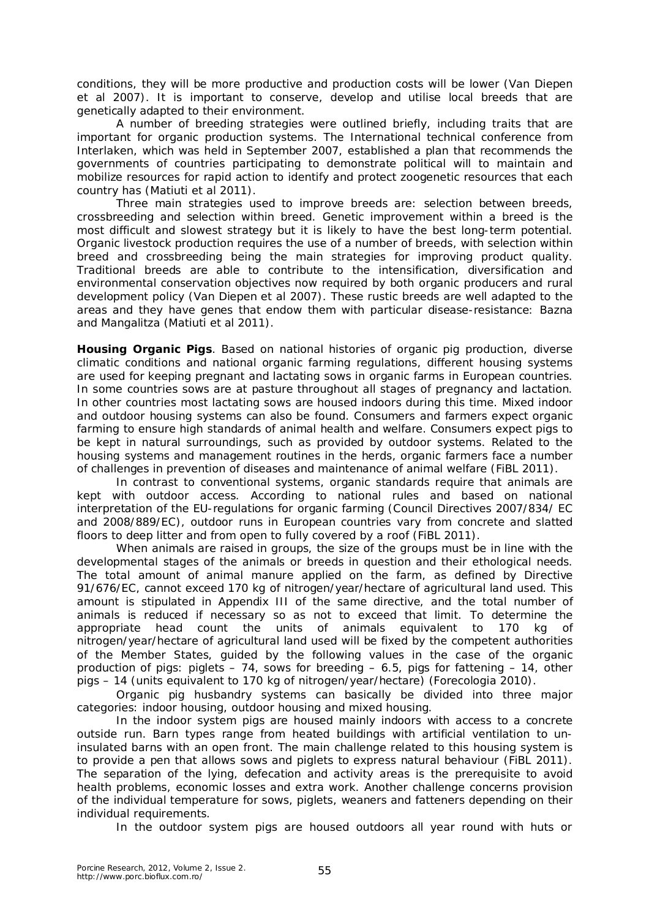conditions, they will be more productive and production costs will be lower (Van Diepen et al 2007). It is important to conserve, develop and utilise local breeds that are genetically adapted to their environment.

A number of breeding strategies were outlined briefly, including traits that are important for organic production systems. The International technical conference from Interlaken, which was held in September 2007, established a plan that recommends the governments of countries participating to demonstrate political will to maintain and mobilize resources for rapid action to identify and protect zoogenetic resources that each country has (Matiuti et al 2011).

Three main strategies used to improve breeds are: selection between breeds, crossbreeding and selection within breed. Genetic improvement within a breed is the most difficult and slowest strategy but it is likely to have the best long-term potential. Organic livestock production requires the use of a number of breeds, with selection within breed and crossbreeding being the main strategies for improving product quality. Traditional breeds are able to contribute to the intensification, diversification and environmental conservation objectives now required by both organic producers and rural development policy (Van Diepen et al 2007). These rustic breeds are well adapted to the areas and they have genes that endow them with particular disease-resistance: Bazna and Mangalitza (Matiuti et al 2011).

**Housing Organic Pigs**. Based on national histories of organic pig production, diverse climatic conditions and national organic farming regulations, different housing systems are used for keeping pregnant and lactating sows in organic farms in European countries. In some countries sows are at pasture throughout all stages of pregnancy and lactation. In other countries most lactating sows are housed indoors during this time. Mixed indoor and outdoor housing systems can also be found. Consumers and farmers expect organic farming to ensure high standards of animal health and welfare. Consumers expect pigs to be kept in natural surroundings, such as provided by outdoor systems. Related to the housing systems and management routines in the herds, organic farmers face a number of challenges in prevention of diseases and maintenance of animal welfare (FiBL 2011).

In contrast to conventional systems, organic standards require that animals are kept with outdoor access. According to national rules and based on national interpretation of the EU-regulations for organic farming (Council Directives 2007/834/ EC and 2008/889/EC), outdoor runs in European countries vary from concrete and slatted floors to deep litter and from open to fully covered by a roof (FiBL 2011).

When animals are raised in groups, the size of the groups must be in line with the developmental stages of the animals or breeds in question and their ethological needs. The total amount of animal manure applied on the farm, as defined by Directive 91/676/EC, cannot exceed 170 kg of nitrogen/year/hectare of agricultural land used. This amount is stipulated in Appendix III of the same directive, and the total number of animals is reduced if necessary so as not to exceed that limit. To determine the appropriate head count the units of animals equivalent to 170 kg of nitrogen/year/hectare of agricultural land used will be fixed by the competent authorities of the Member States, guided by the following values in the case of the organic production of pigs: piglets  $-74$ , sows for breeding  $-6.5$ , pigs for fattening  $-14$ , other pigs – 14 (units equivalent to 170 kg of nitrogen/year/hectare) (Forecologia 2010).

Organic pig husbandry systems can basically be divided into three major categories: indoor housing, outdoor housing and mixed housing.

In the indoor system pigs are housed mainly indoors with access to a concrete outside run. Barn types range from heated buildings with artificial ventilation to uninsulated barns with an open front. The main challenge related to this housing system is to provide a pen that allows sows and piglets to express natural behaviour (FiBL 2011). The separation of the lying, defecation and activity areas is the prerequisite to avoid health problems, economic losses and extra work. Another challenge concerns provision of the individual temperature for sows, piglets, weaners and fatteners depending on their individual requirements.

In the outdoor system pigs are housed outdoors all year round with huts or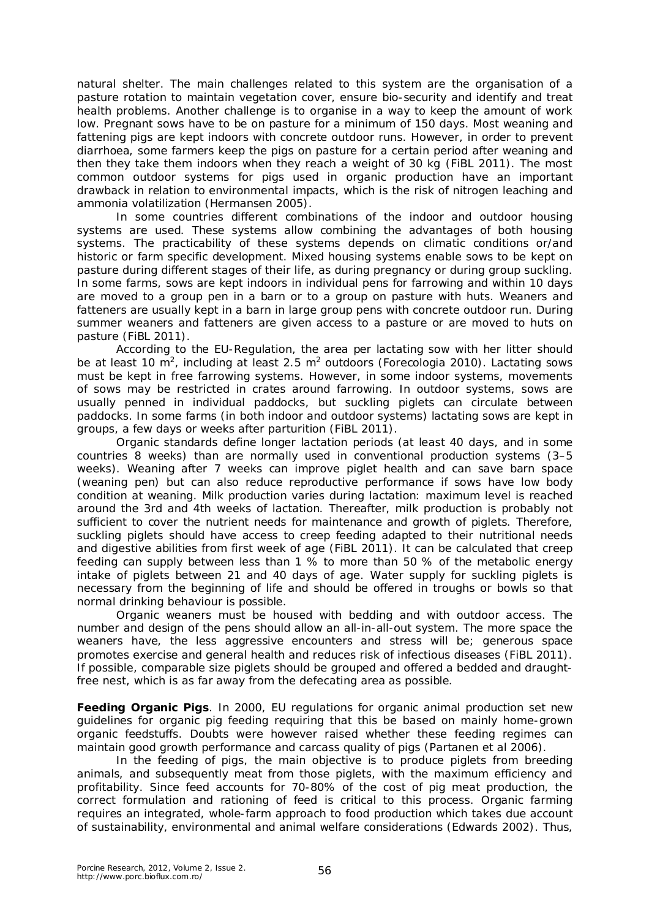natural shelter. The main challenges related to this system are the organisation of a pasture rotation to maintain vegetation cover, ensure bio-security and identify and treat health problems. Another challenge is to organise in a way to keep the amount of work low. Pregnant sows have to be on pasture for a minimum of 150 days. Most weaning and fattening pigs are kept indoors with concrete outdoor runs. However, in order to prevent diarrhoea, some farmers keep the pigs on pasture for a certain period after weaning and then they take them indoors when they reach a weight of 30 kg (FiBL 2011). The most common outdoor systems for pigs used in organic production have an important drawback in relation to environmental impacts, which is the risk of nitrogen leaching and ammonia volatilization (Hermansen 2005).

In some countries different combinations of the indoor and outdoor housing systems are used. These systems allow combining the advantages of both housing systems. The practicability of these systems depends on climatic conditions or/and historic or farm specific development. Mixed housing systems enable sows to be kept on pasture during different stages of their life, as during pregnancy or during group suckling. In some farms, sows are kept indoors in individual pens for farrowing and within 10 days are moved to a group pen in a barn or to a group on pasture with huts. Weaners and fatteners are usually kept in a barn in large group pens with concrete outdoor run. During summer weaners and fatteners are given access to a pasture or are moved to huts on pasture (FiBL 2011).

According to the EU-Regulation, the area per lactating sow with her litter should be at least 10 m<sup>2</sup>, including at least 2.5 m<sup>2</sup> outdoors (Forecologia 2010). Lactating sows must be kept in free farrowing systems. However, in some indoor systems, movements of sows may be restricted in crates around farrowing. In outdoor systems, sows are usually penned in individual paddocks, but suckling piglets can circulate between paddocks. In some farms (in both indoor and outdoor systems) lactating sows are kept in groups, a few days or weeks after parturition (FiBL 2011).

Organic standards define longer lactation periods (at least 40 days, and in some countries 8 weeks) than are normally used in conventional production systems (3–5 weeks). Weaning after 7 weeks can improve piglet health and can save barn space (weaning pen) but can also reduce reproductive performance if sows have low body condition at weaning. Milk production varies during lactation: maximum level is reached around the 3rd and 4th weeks of lactation. Thereafter, milk production is probably not sufficient to cover the nutrient needs for maintenance and growth of piglets. Therefore, suckling piglets should have access to creep feeding adapted to their nutritional needs and digestive abilities from first week of age (FiBL 2011). It can be calculated that creep feeding can supply between less than 1 % to more than 50 % of the metabolic energy intake of piglets between 21 and 40 days of age. Water supply for suckling piglets is necessary from the beginning of life and should be offered in troughs or bowls so that normal drinking behaviour is possible.

Organic weaners must be housed with bedding and with outdoor access. The number and design of the pens should allow an all-in-all-out system. The more space the weaners have, the less aggressive encounters and stress will be; generous space promotes exercise and general health and reduces risk of infectious diseases (FiBL 2011). If possible, comparable size piglets should be grouped and offered a bedded and draughtfree nest, which is as far away from the defecating area as possible.

**Feeding Organic Pigs**. In 2000, EU regulations for organic animal production set new guidelines for organic pig feeding requiring that this be based on mainly home-grown organic feedstuffs. Doubts were however raised whether these feeding regimes can maintain good growth performance and carcass quality of pigs (Partanen et al 2006).

In the feeding of pigs, the main objective is to produce piglets from breeding animals, and subsequently meat from those piglets, with the maximum efficiency and profitability. Since feed accounts for 70-80% of the cost of pig meat production, the correct formulation and rationing of feed is critical to this process. Organic farming requires an integrated, whole-farm approach to food production which takes due account of sustainability, environmental and animal welfare considerations (Edwards 2002). Thus,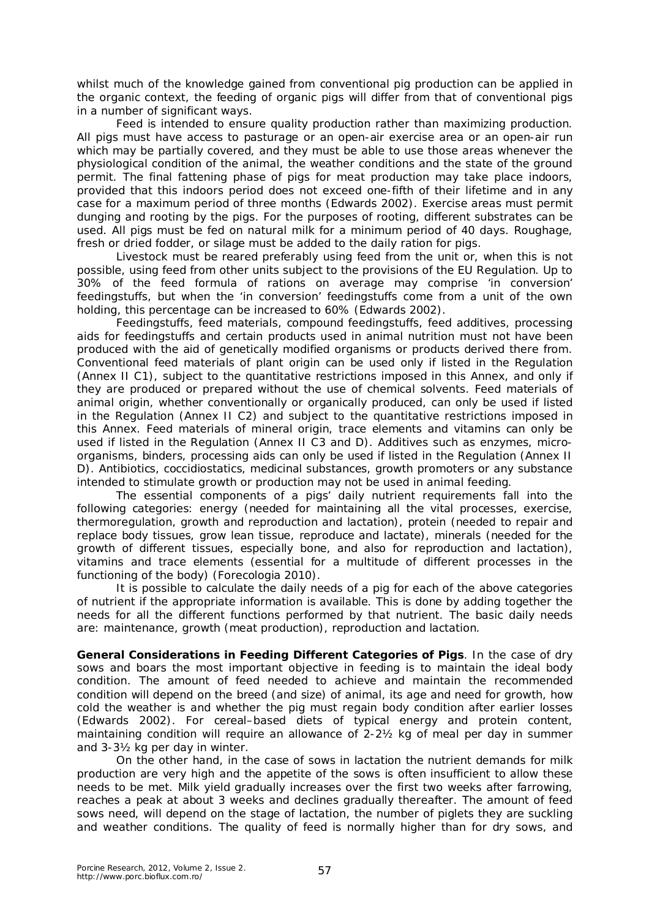whilst much of the knowledge gained from conventional pig production can be applied in the organic context, the feeding of organic pigs will differ from that of conventional pigs in a number of significant ways.

Feed is intended to ensure quality production rather than maximizing production. All pigs must have access to pasturage or an open-air exercise area or an open-air run which may be partially covered, and they must be able to use those areas whenever the physiological condition of the animal, the weather conditions and the state of the ground permit. The final fattening phase of pigs for meat production may take place indoors, provided that this indoors period does not exceed one-fifth of their lifetime and in any case for a maximum period of three months (Edwards 2002). Exercise areas must permit dunging and rooting by the pigs. For the purposes of rooting, different substrates can be used. All pigs must be fed on natural milk for a minimum period of 40 days. Roughage, fresh or dried fodder, or silage must be added to the daily ration for pigs.

Livestock must be reared preferably using feed from the unit or, when this is not possible, using feed from other units subject to the provisions of the EU Regulation. Up to 30% of the feed formula of rations on average may comprise 'in conversion' feedingstuffs, but when the 'in conversion' feedingstuffs come from a unit of the own holding, this percentage can be increased to 60% (Edwards 2002).

Feedingstuffs, feed materials, compound feedingstuffs, feed additives, processing aids for feedingstuffs and certain products used in animal nutrition must not have been produced with the aid of genetically modified organisms or products derived there from. Conventional feed materials of plant origin can be used only if listed in the Regulation (Annex II C1), subject to the quantitative restrictions imposed in this Annex, and only if they are produced or prepared without the use of chemical solvents. Feed materials of animal origin, whether conventionally or organically produced, can only be used if listed in the Regulation (Annex II C2) and subject to the quantitative restrictions imposed in this Annex. Feed materials of mineral origin, trace elements and vitamins can only be used if listed in the Regulation (Annex II C3 and D). Additives such as enzymes, microorganisms, binders, processing aids can only be used if listed in the Regulation (Annex II D). Antibiotics, coccidiostatics, medicinal substances, growth promoters or any substance intended to stimulate growth or production may not be used in animal feeding.

The essential components of a pigs' daily nutrient requirements fall into the following categories: energy (needed for maintaining all the vital processes, exercise, thermoregulation, growth and reproduction and lactation), protein (needed to repair and replace body tissues, grow lean tissue, reproduce and lactate), minerals (needed for the growth of different tissues, especially bone, and also for reproduction and lactation), vitamins and trace elements (essential for a multitude of different processes in the functioning of the body) (Forecologia 2010).

It is possible to calculate the daily needs of a pig for each of the above categories of nutrient if the appropriate information is available. This is done by adding together the needs for all the different functions performed by that nutrient. The basic daily needs are: maintenance, growth (meat production), reproduction and lactation.

**General Considerations in Feeding Different Categories of Pigs**. In the case of dry sows and boars the most important objective in feeding is to maintain the ideal body condition. The amount of feed needed to achieve and maintain the recommended condition will depend on the breed (and size) of animal, its age and need for growth, how cold the weather is and whether the pig must regain body condition after earlier losses (Edwards 2002). For cereal–based diets of typical energy and protein content, maintaining condition will require an allowance of 2-2½ kg of meal per day in summer and 3-3½ kg per day in winter.

On the other hand, in the case of sows in lactation the nutrient demands for milk production are very high and the appetite of the sows is often insufficient to allow these needs to be met. Milk yield gradually increases over the first two weeks after farrowing, reaches a peak at about 3 weeks and declines gradually thereafter. The amount of feed sows need, will depend on the stage of lactation, the number of piglets they are suckling and weather conditions. The quality of feed is normally higher than for dry sows, and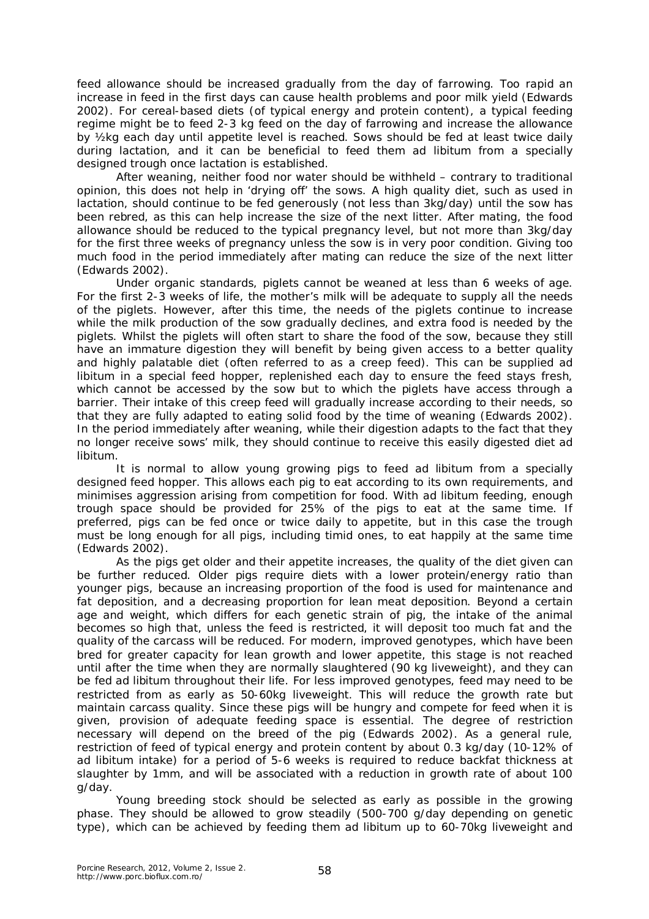feed allowance should be increased gradually from the day of farrowing. Too rapid an increase in feed in the first days can cause health problems and poor milk yield (Edwards 2002). For cereal-based diets (of typical energy and protein content), a typical feeding regime might be to feed 2-3 kg feed on the day of farrowing and increase the allowance by ½kg each day until appetite level is reached. Sows should be fed at least twice daily during lactation, and it can be beneficial to feed them *ad libitum* from a specially designed trough once lactation is established.

After weaning, neither food nor water should be withheld – contrary to traditional opinion, this does not help in 'drying off' the sows. A high quality diet, such as used in lactation, should continue to be fed generously (not less than 3kg/day) until the sow has been rebred, as this can help increase the size of the next litter. After mating, the food allowance should be reduced to the typical pregnancy level, but not more than 3kg/day for the first three weeks of pregnancy unless the sow is in very poor condition. Giving too much food in the period immediately after mating can reduce the size of the next litter (Edwards 2002).

Under organic standards, piglets cannot be weaned at less than 6 weeks of age. For the first 2-3 weeks of life, the mother's milk will be adequate to supply all the needs of the piglets. However, after this time, the needs of the piglets continue to increase while the milk production of the sow gradually declines, and extra food is needed by the piglets. Whilst the piglets will often start to share the food of the sow, because they still have an immature digestion they will benefit by being given access to a better quality and highly palatable diet (often referred to as a creep feed). This can be supplied *ad libitum* in a special feed hopper, replenished each day to ensure the feed stays fresh, which cannot be accessed by the sow but to which the piglets have access through a barrier. Their intake of this creep feed will gradually increase according to their needs, so that they are fully adapted to eating solid food by the time of weaning (Edwards 2002). In the period immediately after weaning, while their digestion adapts to the fact that they no longer receive sows' milk, they should continue to receive this easily digested diet *ad libitum*.

It is normal to allow young growing pigs to feed *ad libitum* from a specially designed feed hopper. This allows each pig to eat according to its own requirements, and minimises aggression arising from competition for food. With *ad libitum* feeding, enough trough space should be provided for 25% of the pigs to eat at the same time. If preferred, pigs can be fed once or twice daily to appetite, but in this case the trough must be long enough for all pigs, including timid ones, to eat happily at the same time (Edwards 2002).

As the pigs get older and their appetite increases, the quality of the diet given can be further reduced. Older pigs require diets with a lower protein/energy ratio than younger pigs, because an increasing proportion of the food is used for maintenance and fat deposition, and a decreasing proportion for lean meat deposition. Beyond a certain age and weight, which differs for each genetic strain of pig, the intake of the animal becomes so high that, unless the feed is restricted, it will deposit too much fat and the quality of the carcass will be reduced. For modern, improved genotypes, which have been bred for greater capacity for lean growth and lower appetite, this stage is not reached until after the time when they are normally slaughtered (90 kg liveweight), and they can be fed *ad libitum* throughout their life. For less improved genotypes, feed may need to be restricted from as early as 50-60kg liveweight. This will reduce the growth rate but maintain carcass quality. Since these pigs will be hungry and compete for feed when it is given, provision of adequate feeding space is essential. The degree of restriction necessary will depend on the breed of the pig (Edwards 2002). As a general rule, restriction of feed of typical energy and protein content by about 0.3 kg/day (10-12% of *ad libitum* intake) for a period of 5-6 weeks is required to reduce backfat thickness at slaughter by 1mm, and will be associated with a reduction in growth rate of about 100 g/day.

Young breeding stock should be selected as early as possible in the growing phase. They should be allowed to grow steadily (500-700 g/day depending on genetic type), which can be achieved by feeding them *ad libitum* up to 60-70kg liveweight and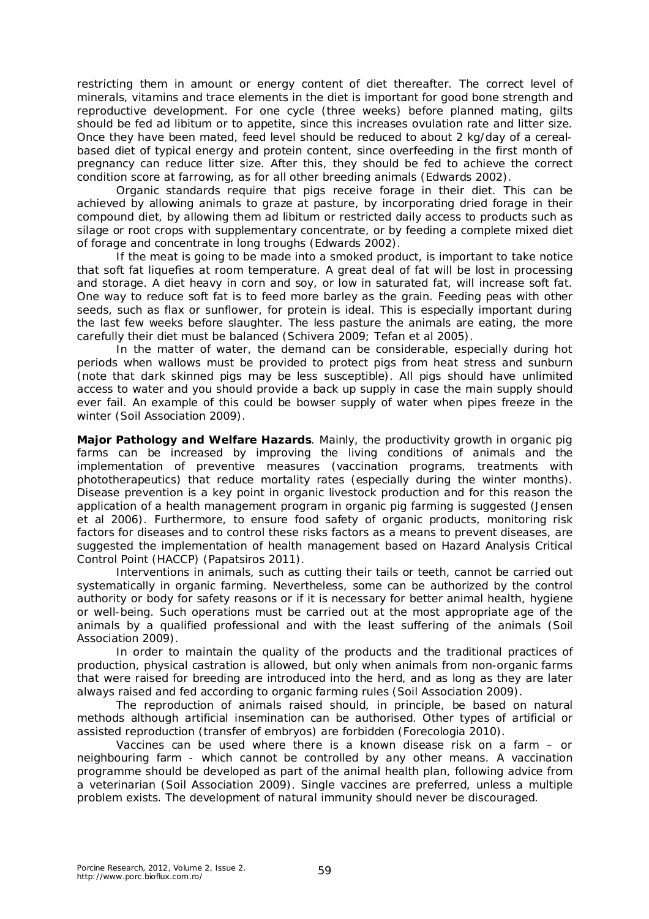restricting them in amount or energy content of diet thereafter. The correct level of minerals, vitamins and trace elements in the diet is important for good bone strength and reproductive development. For one cycle (three weeks) before planned mating, gilts should be fed *ad libitum* or to appetite, since this increases ovulation rate and litter size. Once they have been mated, feed level should be reduced to about 2 kg/day of a cerealbased diet of typical energy and protein content, since overfeeding in the first month of pregnancy can reduce litter size. After this, they should be fed to achieve the correct condition score at farrowing, as for all other breeding animals (Edwards 2002).

Organic standards require that pigs receive forage in their diet. This can be achieved by allowing animals to graze at pasture, by incorporating dried forage in their compound diet, by allowing them *ad libitum* or restricted daily access to products such as silage or root crops with supplementary concentrate, or by feeding a complete mixed diet of forage and concentrate in long troughs (Edwards 2002).

If the meat is going to be made into a smoked product, is important to take notice that soft fat liquefies at room temperature. A great deal of fat will be lost in processing and storage. A diet heavy in corn and soy, or low in saturated fat, will increase soft fat. One way to reduce soft fat is to feed more barley as the grain. Feeding peas with other seeds, such as flax or sunflower, for protein is ideal. This is especially important during the last few weeks before slaughter. The less pasture the animals are eating, the more carefully their diet must be balanced (Schivera 2009; Tefan et al 2005).

In the matter of water, the demand can be considerable, especially during hot periods when wallows must be provided to protect pigs from heat stress and sunburn (note that dark skinned pigs may be less susceptible). All pigs should have unlimited access to water and you should provide a back up supply in case the main supply should ever fail. An example of this could be bowser supply of water when pipes freeze in the winter (Soil Association 2009).

**Major Pathology and Welfare Hazards**. Mainly, the productivity growth in organic pig farms can be increased by improving the living conditions of animals and the implementation of preventive measures (vaccination programs, treatments with phototherapeutics) that reduce mortality rates (especially during the winter months). Disease prevention is a key point in organic livestock production and for this reason the application of a health management program in organic pig farming is suggested (Jensen et al 2006). Furthermore, to ensure food safety of organic products, monitoring risk factors for diseases and to control these risks factors as a means to prevent diseases, are suggested the implementation of health management based on Hazard Analysis Critical Control Point (HACCP) (Papatsiros 2011).

Interventions in animals, such as cutting their tails or teeth, cannot be carried out systematically in organic farming. Nevertheless, some can be authorized by the control authority or body for safety reasons or if it is necessary for better animal health, hygiene or well-being. Such operations must be carried out at the most appropriate age of the animals by a qualified professional and with the least suffering of the animals (Soil Association 2009).

In order to maintain the quality of the products and the traditional practices of production, physical castration is allowed, but only when animals from non-organic farms that were raised for breeding are introduced into the herd, and as long as they are later always raised and fed according to organic farming rules (Soil Association 2009).

The reproduction of animals raised should, in principle, be based on natural methods although artificial insemination can be authorised. Other types of artificial or assisted reproduction (transfer of embryos) are forbidden (Forecologia 2010).

Vaccines can be used where there is a known disease risk on a farm – or neighbouring farm - which cannot be controlled by any other means. A vaccination programme should be developed as part of the animal health plan, following advice from a veterinarian (Soil Association 2009). Single vaccines are preferred, unless a multiple problem exists. The development of natural immunity should never be discouraged.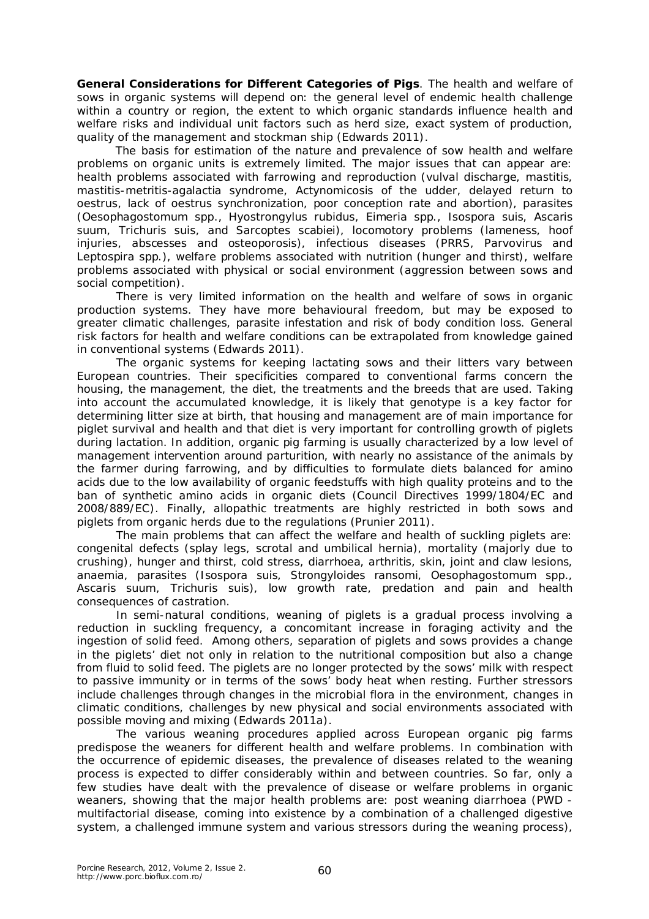**General Considerations for Different Categories of Pigs**. The health and welfare of sows in organic systems will depend on: the general level of endemic health challenge within a country or region, the extent to which organic standards influence health and welfare risks and individual unit factors such as herd size, exact system of production, quality of the management and stockman ship (Edwards 2011).

The basis for estimation of the nature and prevalence of sow health and welfare problems on organic units is extremely limited. The major issues that can appear are: health problems associated with farrowing and reproduction (vulval discharge, mastitis, mastitis-metritis-agalactia syndrome, *Actynomicosis* of the udder, delayed return to oestrus, lack of oestrus synchronization, poor conception rate and abortion), parasites *(Oesophagostomum spp., Hyostrongylus rubidus, Eimeria spp., Isospora suis, Ascaris suum, Trichuris suis,* and *Sarcoptes scabiei*), locomotory problems (lameness, hoof injuries, abscesses and osteoporosis), infectious diseases (PRRS, *Parvovirus* and *Leptospira spp.*), welfare problems associated with nutrition (hunger and thirst), welfare problems associated with physical or social environment (aggression between sows and social competition).

There is very limited information on the health and welfare of sows in organic production systems. They have more behavioural freedom, but may be exposed to greater climatic challenges, parasite infestation and risk of body condition loss. General risk factors for health and welfare conditions can be extrapolated from knowledge gained in conventional systems (Edwards 2011).

The organic systems for keeping lactating sows and their litters vary between European countries. Their specificities compared to conventional farms concern the housing, the management, the diet, the treatments and the breeds that are used. Taking into account the accumulated knowledge, it is likely that genotype is a key factor for determining litter size at birth, that housing and management are of main importance for piglet survival and health and that diet is very important for controlling growth of piglets during lactation. In addition, organic pig farming is usually characterized by a low level of management intervention around parturition, with nearly no assistance of the animals by the farmer during farrowing, and by difficulties to formulate diets balanced for amino acids due to the low availability of organic feedstuffs with high quality proteins and to the ban of synthetic amino acids in organic diets (Council Directives 1999/1804/EC and 2008/889/EC). Finally, allopathic treatments are highly restricted in both sows and piglets from organic herds due to the regulations (Prunier 2011).

The main problems that can affect the welfare and health of suckling piglets are: congenital defects (splay legs, scrotal and umbilical hernia), mortality (majorly due to crushing), hunger and thirst, cold stress, diarrhoea, arthritis, skin, joint and claw lesions, anaemia, parasites (*Isospora suis, Strongyloides ransomi, Oesophagostomum spp., Ascaris suum, Trichuris suis*), low growth rate, predation and pain and health consequences of castration.

In semi-natural conditions, weaning of piglets is a gradual process involving a reduction in suckling frequency, a concomitant increase in foraging activity and the ingestion of solid feed. Among others, separation of piglets and sows provides a change in the piglets' diet not only in relation to the nutritional composition but also a change from fluid to solid feed. The piglets are no longer protected by the sows' milk with respect to passive immunity or in terms of the sows' body heat when resting. Further stressors include challenges through changes in the microbial flora in the environment, changes in climatic conditions, challenges by new physical and social environments associated with possible moving and mixing (Edwards 2011a).

The various weaning procedures applied across European organic pig farms predispose the weaners for different health and welfare problems. In combination with the occurrence of epidemic diseases, the prevalence of diseases related to the weaning process is expected to differ considerably within and between countries. So far, only a few studies have dealt with the prevalence of disease or welfare problems in organic weaners, showing that the major health problems are: post weaning diarrhoea (PWD multifactorial disease, coming into existence by a combination of a challenged digestive system, a challenged immune system and various stressors during the weaning process),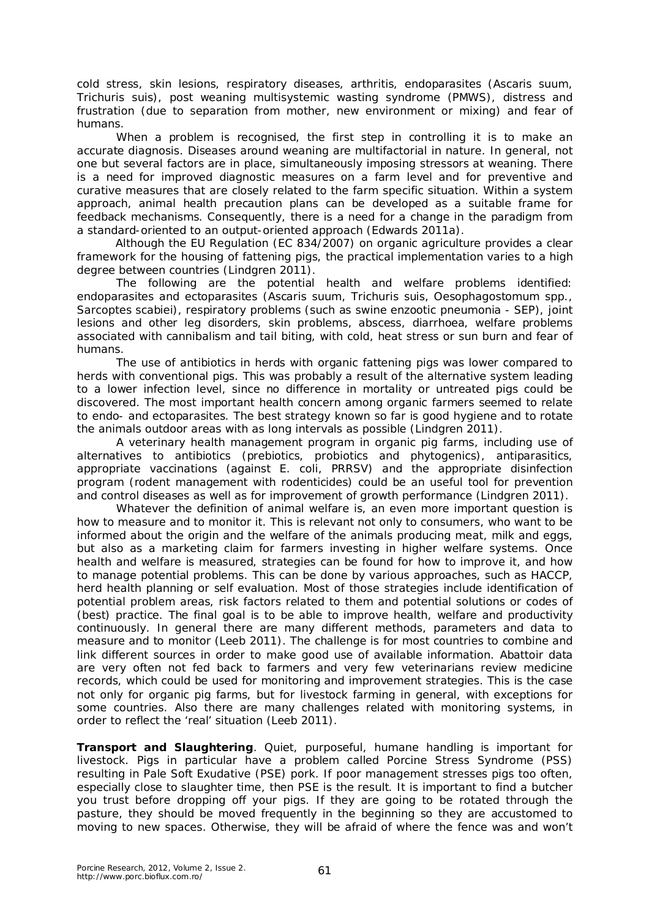cold stress, skin lesions, respiratory diseases, arthritis, endoparasites (*Ascaris suum, Trichuris suis*), post weaning multisystemic wasting syndrome (PMWS), distress and frustration (due to separation from mother, new environment or mixing) and fear of humans.

When a problem is recognised, the first step in controlling it is to make an accurate diagnosis. Diseases around weaning are multifactorial in nature. In general, not one but several factors are in place, simultaneously imposing stressors at weaning. There is a need for improved diagnostic measures on a farm level and for preventive and curative measures that are closely related to the farm specific situation. Within a system approach, animal health precaution plans can be developed as a suitable frame for feedback mechanisms. Consequently, there is a need for a change in the paradigm from a standard-oriented to an output-oriented approach (Edwards 2011a).

Although the EU Regulation (EC 834/2007) on organic agriculture provides a clear framework for the housing of fattening pigs, the practical implementation varies to a high degree between countries (Lindgren 2011).

The following are the potential health and welfare problems identified: endoparasites and ectoparasites (*Ascaris suum, Trichuris suis, Oesophagostomum spp., Sarcoptes scabiei*), respiratory problems (such as swine enzootic pneumonia - SEP), joint lesions and other leg disorders, skin problems, abscess, diarrhoea, welfare problems associated with cannibalism and tail biting, with cold, heat stress or sun burn and fear of humans.

The use of antibiotics in herds with organic fattening pigs was lower compared to herds with conventional pigs. This was probably a result of the alternative system leading to a lower infection level, since no difference in mortality or untreated pigs could be discovered. The most important health concern among organic farmers seemed to relate to endo- and ectoparasites. The best strategy known so far is good hygiene and to rotate the animals outdoor areas with as long intervals as possible (Lindgren 2011).

A veterinary health management program in organic pig farms, including use of alternatives to antibiotics (prebiotics, probiotics and phytogenics), antiparasitics, appropriate vaccinations (against *E. coli*, PRRSV) and the appropriate disinfection program (rodent management with rodenticides) could be an useful tool for prevention and control diseases as well as for improvement of growth performance (Lindgren 2011).

Whatever the definition of animal welfare is, an even more important question is how to measure and to monitor it. This is relevant not only to consumers, who want to be informed about the origin and the welfare of the animals producing meat, milk and eggs, but also as a marketing claim for farmers investing in higher welfare systems. Once health and welfare is measured, strategies can be found for how to improve it, and how to manage potential problems. This can be done by various approaches, such as HACCP, herd health planning or self evaluation. Most of those strategies include identification of potential problem areas, risk factors related to them and potential solutions or codes of (best) practice. The final goal is to be able to improve health, welfare and productivity continuously. In general there are many different methods, parameters and data to measure and to monitor (Leeb 2011). The challenge is for most countries to combine and link different sources in order to make good use of available information. Abattoir data are very often not fed back to farmers and very few veterinarians review medicine records, which could be used for monitoring and improvement strategies. This is the case not only for organic pig farms, but for livestock farming in general, with exceptions for some countries. Also there are many challenges related with monitoring systems, in order to reflect the 'real' situation (Leeb 2011).

**Transport and Slaughtering**. Quiet, purposeful, humane handling is important for livestock. Pigs in particular have a problem called Porcine Stress Syndrome (PSS) resulting in Pale Soft Exudative (PSE) pork. If poor management stresses pigs too often, especially close to slaughter time, then PSE is the result. It is important to find a butcher you trust before dropping off your pigs. If they are going to be rotated through the pasture, they should be moved frequently in the beginning so they are accustomed to moving to new spaces. Otherwise, they will be afraid of where the fence was and won't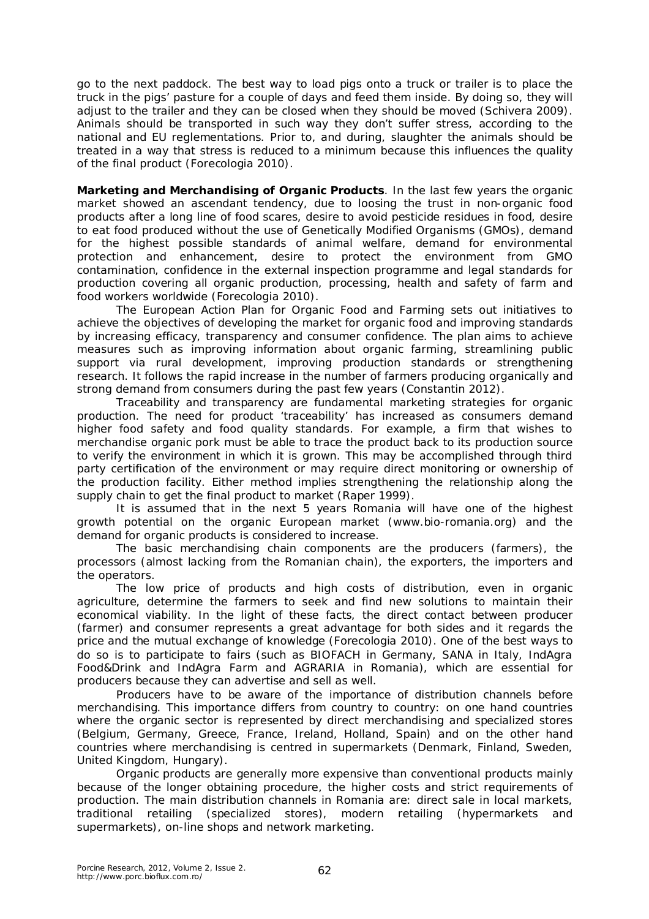go to the next paddock. The best way to load pigs onto a truck or trailer is to place the truck in the pigs' pasture for a couple of days and feed them inside. By doing so, they will adjust to the trailer and they can be closed when they should be moved (Schivera 2009). Animals should be transported in such way they don't suffer stress, according to the national and EU reglementations. Prior to, and during, slaughter the animals should be treated in a way that stress is reduced to a minimum because this influences the quality of the final product (Forecologia 2010).

**Marketing and Merchandising of Organic Products**. In the last few years the organic market showed an ascendant tendency, due to loosing the trust in non-organic food products after a long line of food scares, desire to avoid pesticide residues in food, desire to eat food produced without the use of Genetically Modified Organisms (GMOs), demand for the highest possible standards of animal welfare, demand for environmental protection and enhancement, desire to protect the environment from GMO contamination, confidence in the external inspection programme and legal standards for production covering all organic production, processing, health and safety of farm and food workers worldwide (Forecologia 2010).

The European Action Plan for Organic Food and Farming sets out initiatives to achieve the objectives of developing the market for organic food and improving standards by increasing efficacy, transparency and consumer confidence. The plan aims to achieve measures such as improving information about organic farming, streamlining public support via rural development, improving production standards or strengthening research. It follows the rapid increase in the number of farmers producing organically and strong demand from consumers during the past few years (Constantin 2012).

Traceability and transparency are fundamental marketing strategies for organic production. The need for product 'traceability' has increased as consumers demand higher food safety and food quality standards. For example, a firm that wishes to merchandise organic pork must be able to trace the product back to its production source to verify the environment in which it is grown. This may be accomplished through third party certification of the environment or may require direct monitoring or ownership of the production facility. Either method implies strengthening the relationship along the supply chain to get the final product to market (Raper 1999).

It is assumed that in the next 5 years Romania will have one of the highest growth potential on the organic European market (www.bio-romania.org) and the demand for organic products is considered to increase.

The basic merchandising chain components are the producers (farmers), the processors (almost lacking from the Romanian chain), the exporters, the importers and the operators.

The low price of products and high costs of distribution, even in organic agriculture, determine the farmers to seek and find new solutions to maintain their economical viability. In the light of these facts, the direct contact between producer (farmer) and consumer represents a great advantage for both sides and it regards the price and the mutual exchange of knowledge (Forecologia 2010). One of the best ways to do so is to participate to fairs (such as BIOFACH in Germany, SANA in Italy, IndAgra Food&Drink and IndAgra Farm and AGRARIA in Romania), which are essential for producers because they can advertise and sell as well.

Producers have to be aware of the importance of distribution channels before merchandising. This importance differs from country to country: on one hand countries where the organic sector is represented by direct merchandising and specialized stores (Belgium, Germany, Greece, France, Ireland, Holland, Spain) and on the other hand countries where merchandising is centred in supermarkets (Denmark, Finland, Sweden, United Kingdom, Hungary).

Organic products are generally more expensive than conventional products mainly because of the longer obtaining procedure, the higher costs and strict requirements of production. The main distribution channels in Romania are: direct sale in local markets, traditional retailing (specialized stores), modern retailing (hypermarkets and supermarkets), on-line shops and network marketing.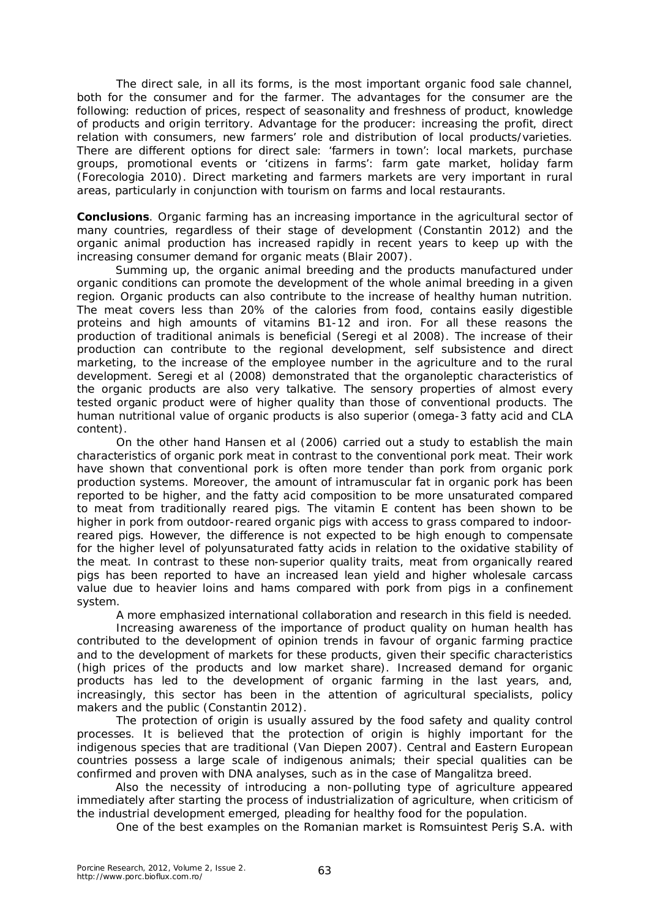The direct sale, in all its forms, is the most important organic food sale channel, both for the consumer and for the farmer. The advantages for the consumer are the following: reduction of prices, respect of seasonality and freshness of product, knowledge of products and origin territory. Advantage for the producer: increasing the profit, direct relation with consumers, new farmers' role and distribution of local products/varieties. There are different options for direct sale: 'farmers in town': local markets, purchase groups, promotional events or 'citizens in farms': farm gate market, holiday farm (Forecologia 2010). Direct marketing and farmers markets are very important in rural areas, particularly in conjunction with tourism on farms and local restaurants.

**Conclusions**. Organic farming has an increasing importance in the agricultural sector of many countries, regardless of their stage of development (Constantin 2012) and the organic animal production has increased rapidly in recent years to keep up with the increasing consumer demand for organic meats (Blair 2007).

Summing up, the organic animal breeding and the products manufactured under organic conditions can promote the development of the whole animal breeding in a given region. Organic products can also contribute to the increase of healthy human nutrition. The meat covers less than 20% of the calories from food, contains easily digestible proteins and high amounts of vitamins B1-12 and iron. For all these reasons the production of traditional animals is beneficial (Seregi et al 2008). The increase of their production can contribute to the regional development, self subsistence and direct marketing, to the increase of the employee number in the agriculture and to the rural development. Seregi et al (2008) demonstrated that the organoleptic characteristics of the organic products are also very talkative. The sensory properties of almost every tested organic product were of higher quality than those of conventional products. The human nutritional value of organic products is also superior (omega-3 fatty acid and CLA content).

On the other hand Hansen et al (2006) carried out a study to establish the main characteristics of organic pork meat in contrast to the conventional pork meat. Their work have shown that conventional pork is often more tender than pork from organic pork production systems. Moreover, the amount of intramuscular fat in organic pork has been reported to be higher, and the fatty acid composition to be more unsaturated compared to meat from traditionally reared pigs. The vitamin E content has been shown to be higher in pork from outdoor-reared organic pigs with access to grass compared to indoorreared pigs. However, the difference is not expected to be high enough to compensate for the higher level of polyunsaturated fatty acids in relation to the oxidative stability of the meat. In contrast to these non-superior quality traits, meat from organically reared pigs has been reported to have an increased lean yield and higher wholesale carcass value due to heavier loins and hams compared with pork from pigs in a confinement system.

A more emphasized international collaboration and research in this field is needed. Increasing awareness of the importance of product quality on human health has contributed to the development of opinion trends in favour of organic farming practice and to the development of markets for these products, given their specific characteristics (high prices of the products and low market share). Increased demand for organic products has led to the development of organic farming in the last years, and, increasingly, this sector has been in the attention of agricultural specialists, policy makers and the public (Constantin 2012).

The protection of origin is usually assured by the food safety and quality control processes. It is believed that the protection of origin is highly important for the indigenous species that are traditional (Van Diepen 2007). Central and Eastern European countries possess a large scale of indigenous animals; their special qualities can be confirmed and proven with DNA analyses, such as in the case of Mangalitza breed.

Also the necessity of introducing a non-polluting type of agriculture appeared immediately after starting the process of industrialization of agriculture, when criticism of the industrial development emerged, pleading for healthy food for the population.

One of the best examples on the Romanian market is Romsuintest Periş S.A. with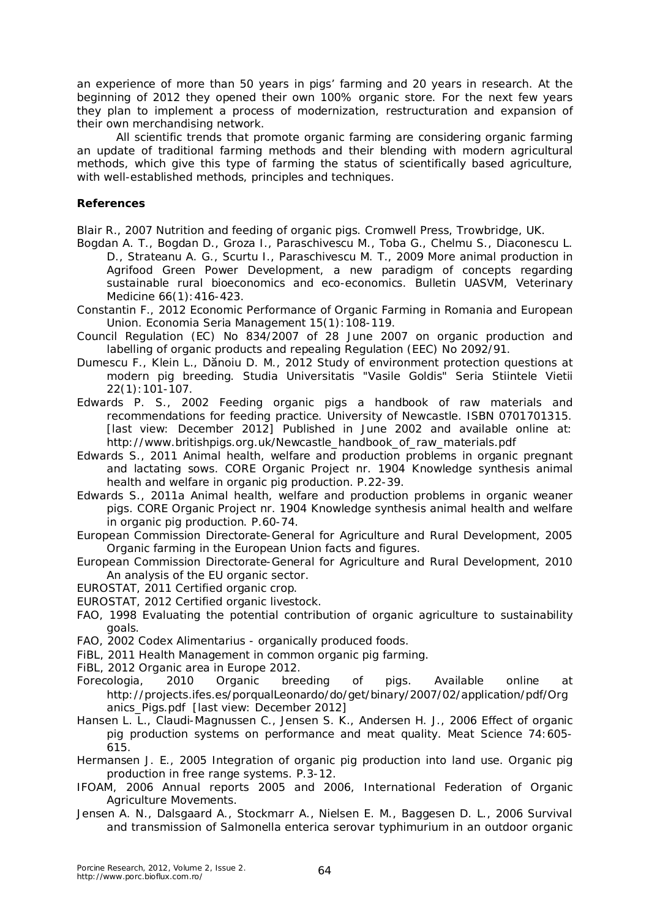an experience of more than 50 years in pigs' farming and 20 years in research. At the beginning of 2012 they opened their own 100% organic store. For the next few years they plan to implement a process of modernization, restructuration and expansion of their own merchandising network.

All scientific trends that promote organic farming are considering organic farming an update of traditional farming methods and their blending with modern agricultural methods, which give this type of farming the status of scientifically based agriculture, with well-established methods, principles and techniques.

## **References**

Blair R., 2007 Nutrition and feeding of organic pigs. Cromwell Press, Trowbridge, UK.

- Bogdan A. T., Bogdan D., Groza I., Paraschivescu M., Toba G., Chelmu S., Diaconescu L. D., Strateanu A. G., Scurtu I., Paraschivescu M. T., 2009 More animal production in Agrifood Green Power Development, a new paradigm of concepts regarding sustainable rural bioeconomics and eco-economics. Bulletin UASVM, Veterinary Medicine 66(1):416-423.
- Constantin F., 2012 Economic Performance of Organic Farming in Romania and European Union. Economia Seria Management 15(1):108-119.
- Council Regulation (EC) No 834/2007 of 28 June 2007 on organic production and labelling of organic products and repealing Regulation (EEC) No 2092/91.
- Dumescu F., Klein L., Dănoiu D. M., 2012 Study of environment protection questions at modern pig breeding. Studia Universitatis "Vasile Goldis" Seria Stiintele Vietii 22(1):101-107.
- Edwards P. S., 2002 Feeding organic pigs a handbook of raw materials and recommendations for feeding practice. University of Newcastle. ISBN 0701701315. [last view: December 2012] Published in June 2002 and available online at: http://www.britishpigs.org.uk/Newcastle\_handbook\_of\_raw\_materials.pdf
- Edwards S., 2011 Animal health, welfare and production problems in organic pregnant and lactating sows. CORE Organic Project nr. 1904 Knowledge synthesis animal health and welfare in organic pig production. P.22-39.
- Edwards S., 2011a Animal health, welfare and production problems in organic weaner pigs. CORE Organic Project nr. 1904 Knowledge synthesis animal health and welfare in organic pig production. P.60-74.
- European Commission Directorate-General for Agriculture and Rural Development, 2005 Organic farming in the European Union facts and figures.
- European Commission Directorate-General for Agriculture and Rural Development, 2010 An analysis of the EU organic sector.
- EUROSTAT, 2011 Certified organic crop.
- EUROSTAT, 2012 Certified organic livestock.
- FAO, 1998 Evaluating the potential contribution of organic agriculture to sustainability goals.
- FAO, 2002 Codex Alimentarius organically produced foods.
- FiBL, 2011 Health Management in common organic pig farming.
- FiBL, 2012 Organic area in Europe 2012.
- Forecologia, 2010 Organic breeding of pigs. Available online at http://projects.ifes.es/porqualLeonardo/do/get/binary/2007/02/application/pdf/Org anics\_Pigs.pdf [last view: December 2012]
- Hansen L. L., Claudi-Magnussen C., Jensen S. K., Andersen H. J., 2006 Effect of organic pig production systems on performance and meat quality. Meat Science 74:605- 615.
- Hermansen J. E., 2005 Integration of organic pig production into land use. Organic pig production in free range systems. P.3-12.
- IFOAM, 2006 Annual reports 2005 and 2006*,* International Federation of Organic Agriculture Movements.
- Jensen A. N., Dalsgaard A., Stockmarr A., Nielsen E. M., Baggesen D. L., 2006 Survival and transmission of *Salmonella enterica* serovar typhimurium in an outdoor organic